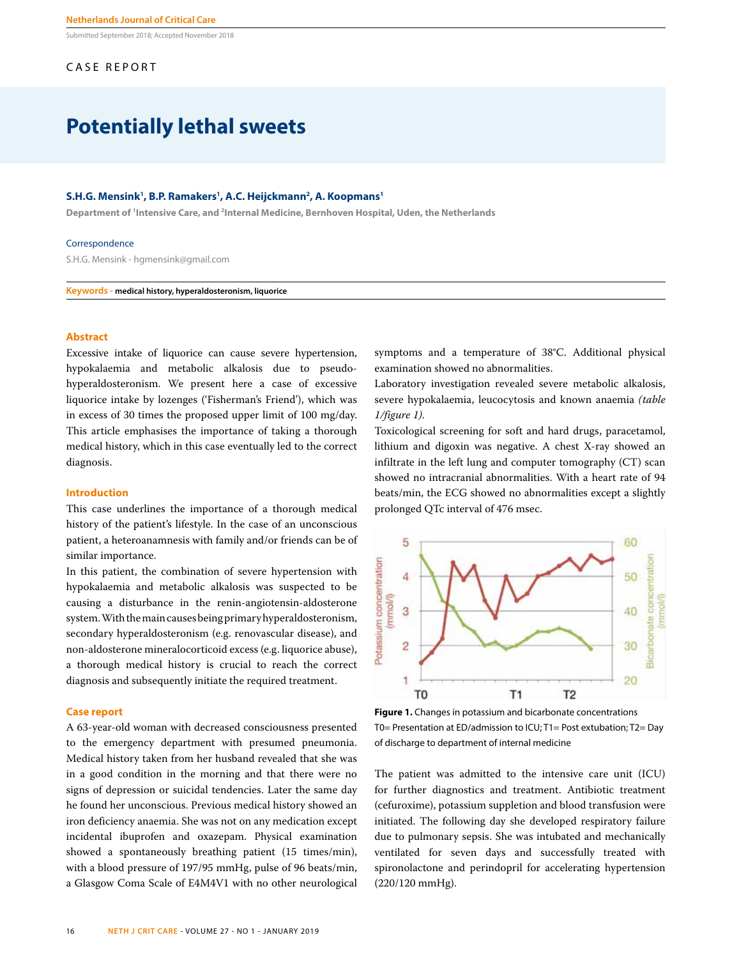Submitted September 2018; Accepted November 2018

# CASE REPORT

# **Potentially lethal sweets**

## **S.H.G. Mensink1 , B.P. Ramakers1 , A.C. Heijckmann2 , A. Koopmans1**

**Department of 1 Intensive Care, and 2 Internal Medicine, Bernhoven Hospital, Uden, the Netherlands**

#### Correspondence

S.H.G. Mensink - hgmensink@gmail.com

**Keywords - medical history, hyperaldosteronism, liquorice**

## **Abstract**

Excessive intake of liquorice can cause severe hypertension, hypokalaemia and metabolic alkalosis due to pseudohyperaldosteronism. We present here a case of excessive liquorice intake by lozenges ('Fisherman's Friend'), which was in excess of 30 times the proposed upper limit of 100 mg/day. This article emphasises the importance of taking a thorough medical history, which in this case eventually led to the correct diagnosis.

## **Introduction**

This case underlines the importance of a thorough medical history of the patient's lifestyle. In the case of an unconscious patient, a heteroanamnesis with family and/or friends can be of similar importance.

In this patient, the combination of severe hypertension with hypokalaemia and metabolic alkalosis was suspected to be causing a disturbance in the renin-angiotensin-aldosterone system. With the main causes being primary hyperaldosteronism, secondary hyperaldosteronism (e.g. renovascular disease), and non-aldosterone mineralocorticoid excess (e.g. liquorice abuse), a thorough medical history is crucial to reach the correct diagnosis and subsequently initiate the required treatment.

## **Case report**

A 63-year-old woman with decreased consciousness presented to the emergency department with presumed pneumonia. Medical history taken from her husband revealed that she was in a good condition in the morning and that there were no signs of depression or suicidal tendencies. Later the same day he found her unconscious. Previous medical history showed an iron deficiency anaemia. She was not on any medication except incidental ibuprofen and oxazepam. Physical examination showed a spontaneously breathing patient (15 times/min), with a blood pressure of 197/95 mmHg, pulse of 96 beats/min, a Glasgow Coma Scale of E4M4V1 with no other neurological symptoms and a temperature of 38°C. Additional physical examination showed no abnormalities.

Laboratory investigation revealed severe metabolic alkalosis, severe hypokalaemia, leucocytosis and known anaemia *(table 1/figure 1)*.

Toxicological screening for soft and hard drugs, paracetamol, lithium and digoxin was negative. A chest X-ray showed an infiltrate in the left lung and computer tomography (CT) scan showed no intracranial abnormalities. With a heart rate of 94 beats/min, the ECG showed no abnormalities except a slightly prolonged QTc interval of 476 msec.



**Figure 1.** Changes in potassium and bicarbonate concentrations T0= Presentation at ED/admission to ICU; T1= Post extubation; T2= Day of discharge to department of internal medicine

The patient was admitted to the intensive care unit (ICU) for further diagnostics and treatment. Antibiotic treatment (cefuroxime), potassium suppletion and blood transfusion were initiated. The following day she developed respiratory failure due to pulmonary sepsis. She was intubated and mechanically ventilated for seven days and successfully treated with spironolactone and perindopril for accelerating hypertension (220/120 mmHg).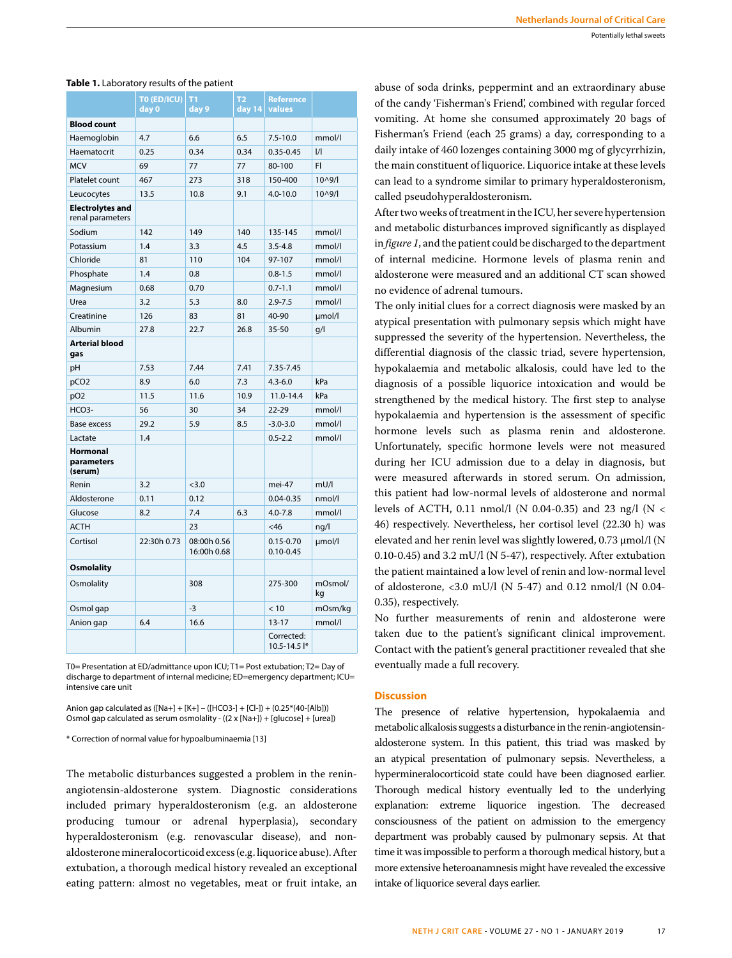|                                             | TO (ED/ICU)<br>day 0 | T <sub>1</sub><br>day 9    | <b>T2</b><br>day 14 | <b>Reference</b><br>values     |               |
|---------------------------------------------|----------------------|----------------------------|---------------------|--------------------------------|---------------|
| <b>Blood count</b>                          |                      |                            |                     |                                |               |
| Haemoglobin                                 | 4.7                  | 6.6                        | 6.5                 | $7.5 - 10.0$                   | mmol/l        |
| Haematocrit                                 | 0.25                 | 0.34                       | 0.34                | $0.35 - 0.45$                  | $\frac{1}{1}$ |
| <b>MCV</b>                                  | 69                   | 77                         | 77                  | 80-100                         | FI            |
| Platelet count                              | 467                  | 273                        | 318                 | 150-400                        | 10^9/l        |
| Leucocytes                                  | 13.5                 | 10.8                       | 9.1                 | $4.0 - 10.0$                   | $10^{0.9}$    |
| <b>Electrolytes and</b><br>renal parameters |                      |                            |                     |                                |               |
| Sodium                                      | 142                  | 149                        | 140                 | 135-145                        | mmol/l        |
| Potassium                                   | 1.4                  | 3.3                        | 4.5                 | $3.5 - 4.8$                    | mmol/l        |
| Chloride                                    | 81                   | 110                        | 104                 | 97-107                         | mmol/l        |
| Phosphate                                   | 1.4                  | 0.8                        |                     | $0.8 - 1.5$                    | mmol/l        |
| Magnesium                                   | 0.68                 | 0.70                       |                     | $0.7 - 1.1$                    | mmol/l        |
| Urea                                        | 3.2                  | 5.3                        | 8.0                 | $2.9 - 7.5$                    | mmol/l        |
| Creatinine                                  | 126                  | 83                         | 81                  | 40-90                          | umol/l        |
| Albumin                                     | 27.8                 | 22.7                       | 26.8                | 35-50                          | g/l           |
| <b>Arterial blood</b><br>gas                |                      |                            |                     |                                |               |
| pH                                          | 7.53                 | 7.44                       | 7.41                | 7.35-7.45                      |               |
| pCO <sub>2</sub>                            | 8.9                  | 6.0                        | 7.3                 | $4.3 - 6.0$                    | kPa           |
| pO <sub>2</sub>                             | 11.5                 | 11.6                       | 10.9                | 11.0-14.4                      | kPa           |
| $HCO3-$                                     | 56                   | 30                         | 34                  | $22 - 29$                      | mmol/l        |
| <b>Base excess</b>                          | 29.2                 | 5.9                        | 8.5                 | $-3.0 - 3.0$                   | mmol/l        |
| Lactate                                     | 1.4                  |                            |                     | $0.5 - 2.2$                    | mmol/l        |
| <b>Hormonal</b><br>parameters<br>(serum)    |                      |                            |                     |                                |               |
| Renin                                       | 3.2                  | < 3.0                      |                     | mei-47                         | mU/I          |
| Aldosterone                                 | 0.11                 | 0.12                       |                     | $0.04 - 0.35$                  | nmol/l        |
| Glucose                                     | 8.2                  | 7.4                        | 6.3                 | $4.0 - 7.8$                    | mmol/l        |
| <b>ACTH</b>                                 |                      | 23                         |                     | <46                            | ng/l          |
| Cortisol                                    | 22:30h 0.73          | 08:00h 0.56<br>16:00h 0.68 |                     | $0.15 - 0.70$<br>$0.10 - 0.45$ | umol/l        |
| <b>Osmolality</b>                           |                      |                            |                     |                                |               |
| Osmolality                                  |                      | 308                        |                     | 275-300                        | mOsmol/<br>kg |
| Osmol gap                                   |                      | $-3$                       |                     | < 10                           | mOsm/kg       |
| Anion gap                                   | 6.4                  | 16.6                       |                     | $13 - 17$                      | mmol/l        |
|                                             |                      |                            |                     | Corrected:<br>$10.5 - 14.5$  * |               |

#### **Table 1.** Laboratory results of the patient

T0= Presentation at ED/admittance upon ICU; T1= Post extubation; T2= Day of discharge to department of internal medicine; ED=emergency department; ICU= intensive care unit

Anion gap calculated as ([Na+] + [K+] – ([HCO3-] + [Cl-]) + (0.25\*(40-[Alb])) Osmol gap calculated as serum osmolality - ((2 x [Na+]) + [glucose] + [urea])

\* Correction of normal value for hypoalbuminaemia [13]

The metabolic disturbances suggested a problem in the reninangiotensin-aldosterone system. Diagnostic considerations included primary hyperaldosteronism (e.g. an aldosterone producing tumour or adrenal hyperplasia), secondary hyperaldosteronism (e.g. renovascular disease), and nonaldosterone mineralocorticoid excess (e.g. liquorice abuse). After extubation, a thorough medical history revealed an exceptional eating pattern: almost no vegetables, meat or fruit intake, an abuse of soda drinks, peppermint and an extraordinary abuse of the candy 'Fisherman's Friend', combined with regular forced vomiting. At home she consumed approximately 20 bags of Fisherman's Friend (each 25 grams) a day, corresponding to a daily intake of 460 lozenges containing 3000 mg of glycyrrhizin, the main constituent of liquorice. Liquorice intake at these levels can lead to a syndrome similar to primary hyperaldosteronism, called pseudohyperaldosteronism.

After two weeks of treatment in the ICU, her severe hypertension and metabolic disturbances improved significantly as displayed in *figure 1*, and the patient could be discharged to the department of internal medicine. Hormone levels of plasma renin and aldosterone were measured and an additional CT scan showed no evidence of adrenal tumours.

The only initial clues for a correct diagnosis were masked by an atypical presentation with pulmonary sepsis which might have suppressed the severity of the hypertension. Nevertheless, the differential diagnosis of the classic triad, severe hypertension, hypokalaemia and metabolic alkalosis, could have led to the diagnosis of a possible liquorice intoxication and would be strengthened by the medical history. The first step to analyse hypokalaemia and hypertension is the assessment of specific hormone levels such as plasma renin and aldosterone. Unfortunately, specific hormone levels were not measured during her ICU admission due to a delay in diagnosis, but were measured afterwards in stored serum. On admission, this patient had low-normal levels of aldosterone and normal levels of ACTH, 0.11 nmol/l (N 0.04-0.35) and 23 ng/l (N < 46) respectively. Nevertheless, her cortisol level (22.30 h) was elevated and her renin level was slightly lowered, 0.73  $\mu$ mol/l (N 0.10-0.45) and 3.2 mU/l (N 5-47), respectively. After extubation the patient maintained a low level of renin and low-normal level of aldosterone, <3.0 mU/l (N 5-47) and 0.12 nmol/l (N 0.04- 0.35), respectively.

No further measurements of renin and aldosterone were taken due to the patient's significant clinical improvement. Contact with the patient's general practitioner revealed that she eventually made a full recovery.

## **Discussion**

The presence of relative hypertension, hypokalaemia and metabolic alkalosis suggests a disturbance in the renin-angiotensinaldosterone system. In this patient, this triad was masked by an atypical presentation of pulmonary sepsis. Nevertheless, a hypermineralocorticoid state could have been diagnosed earlier. Thorough medical history eventually led to the underlying explanation: extreme liquorice ingestion. The decreased consciousness of the patient on admission to the emergency department was probably caused by pulmonary sepsis. At that time it was impossible to perform a thorough medical history, but a more extensive heteroanamnesis might have revealed the excessive intake of liquorice several days earlier.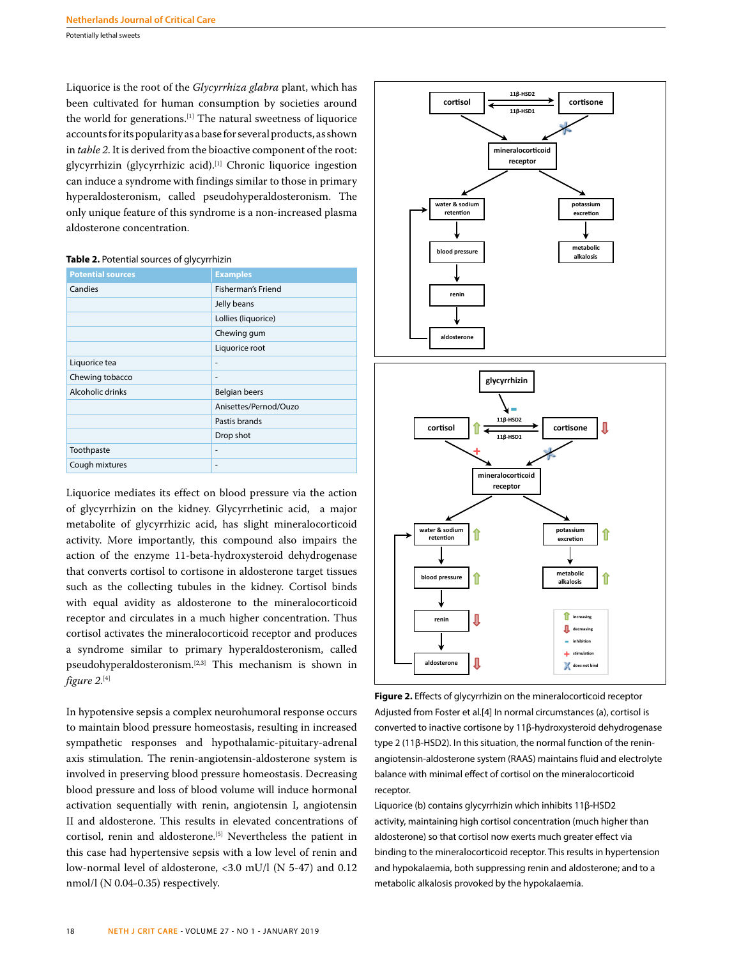Potentially lethal sweets

Liquorice is the root of the *Glycyrrhiza glabra* plant, which has been cultivated for human consumption by societies around the world for generations.<sup>[1]</sup> The natural sweetness of liquorice accounts for its popularity as a base for several products, as shown in *table 2*. It is derived from the bioactive component of the root: glycyrrhizin (glycyrrhizic acid).[1] Chronic liquorice ingestion can induce a syndrome with findings similar to those in primary hyperaldosteronism, called pseudohyperaldosteronism. The only unique feature of this syndrome is a non-increased plasma aldosterone concentration.

## **Table 2.** Potential sources of glycyrrhizin

| <b>Potential sources</b> | <b>Examples</b>           |
|--------------------------|---------------------------|
| Candies                  | <b>Fisherman's Friend</b> |
|                          | Jelly beans               |
|                          | Lollies (liquorice)       |
|                          | Chewing gum               |
|                          | Liquorice root            |
| Liquorice tea            | ٠                         |
| Chewing tobacco          | ٠                         |
| Alcoholic drinks         | <b>Belgian beers</b>      |
|                          | Anisettes/Pernod/Ouzo     |
|                          | Pastis brands             |
|                          | Drop shot                 |
| Toothpaste               | ٠                         |
| Cough mixtures           | ٠                         |

Liquorice mediates its effect on blood pressure via the action of glycyrrhizin on the kidney. Glycyrrhetinic acid, a major metabolite of glycyrrhizic acid, has slight mineralocorticoid activity. More importantly, this compound also impairs the action of the enzyme 11-beta-hydroxysteroid dehydrogenase that converts cortisol to cortisone in aldosterone target tissues such as the collecting tubules in the kidney. Cortisol binds with equal avidity as aldosterone to the mineralocorticoid receptor and circulates in a much higher concentration. Thus cortisol activates the mineralocorticoid receptor and produces a syndrome similar to primary hyperaldosteronism, called pseudohyperaldosteronism.[2,3] This mechanism is shown in *figure 2*. [4]

In hypotensive sepsis a complex neurohumoral response occurs to maintain blood pressure homeostasis, resulting in increased sympathetic responses and hypothalamic-pituitary-adrenal axis stimulation. The renin-angiotensin-aldosterone system is involved in preserving blood pressure homeostasis. Decreasing blood pressure and loss of blood volume will induce hormonal activation sequentially with renin, angiotensin I, angiotensin II and aldosterone. This results in elevated concentrations of cortisol, renin and aldosterone.<sup>[5]</sup> Nevertheless the patient in this case had hypertensive sepsis with a low level of renin and low-normal level of aldosterone, <3.0 mU/l (N 5-47) and 0.12 nmol/l (N 0.04-0.35) respectively.



**Figure 2.** Effects of glycyrrhizin on the mineralocorticoid receptor Adjusted from Foster et al.[4] In normal circumstances (a), cortisol is converted to inactive cortisone by 11β-hydroxysteroid dehydrogenase type 2 (11β-HSD2). In this situation, the normal function of the reninangiotensin-aldosterone system (RAAS) maintains fluid and electrolyte balance with minimal effect of cortisol on the mineralocorticoid receptor.

Liquorice (b) contains glycyrrhizin which inhibits 11β-HSD2 activity, maintaining high cortisol concentration (much higher than aldosterone) so that cortisol now exerts much greater effect via binding to the mineralocorticoid receptor. This results in hypertension and hypokalaemia, both suppressing renin and aldosterone; and to a metabolic alkalosis provoked by the hypokalaemia.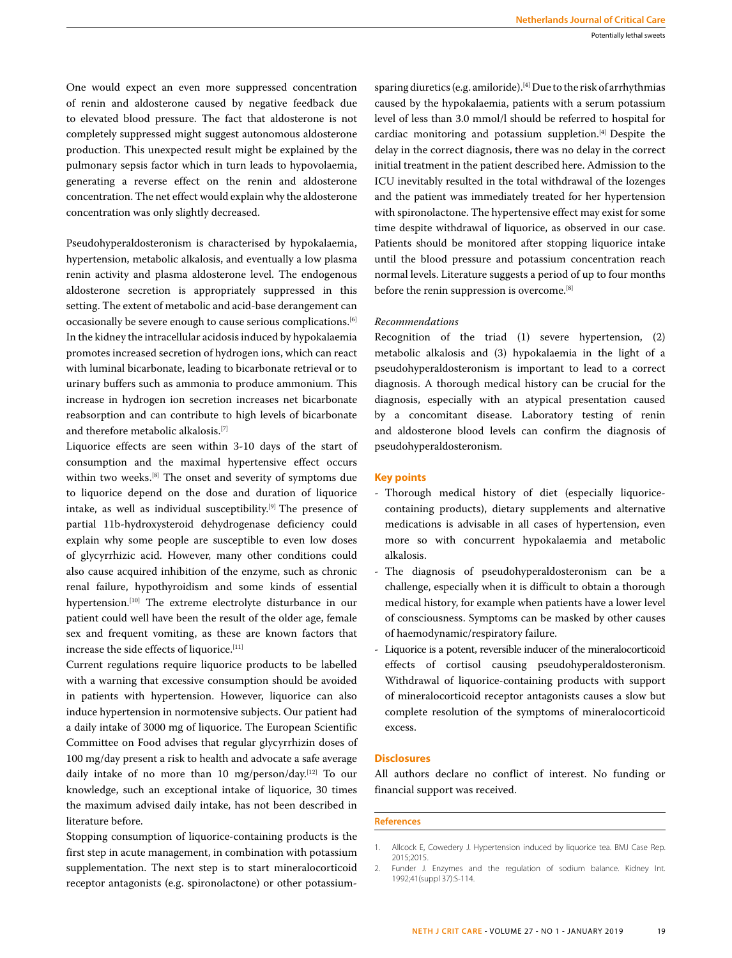One would expect an even more suppressed concentration of renin and aldosterone caused by negative feedback due to elevated blood pressure. The fact that aldosterone is not completely suppressed might suggest autonomous aldosterone production. This unexpected result might be explained by the pulmonary sepsis factor which in turn leads to hypovolaemia, generating a reverse effect on the renin and aldosterone concentration. The net effect would explain why the aldosterone concentration was only slightly decreased.

Pseudohyperaldosteronism is characterised by hypokalaemia, hypertension, metabolic alkalosis, and eventually a low plasma renin activity and plasma aldosterone level. The endogenous aldosterone secretion is appropriately suppressed in this setting. The extent of metabolic and acid-base derangement can occasionally be severe enough to cause serious complications.[6] In the kidney the intracellular acidosis induced by hypokalaemia promotes increased secretion of hydrogen ions, which can react with luminal bicarbonate, leading to bicarbonate retrieval or to urinary buffers such as ammonia to produce ammonium. This increase in hydrogen ion secretion increases net bicarbonate reabsorption and can contribute to high levels of bicarbonate and therefore metabolic alkalosis.[7]

Liquorice effects are seen within 3-10 days of the start of consumption and the maximal hypertensive effect occurs within two weeks.[8] The onset and severity of symptoms due to liquorice depend on the dose and duration of liquorice intake, as well as individual susceptibility.[9] The presence of partial 11b-hydroxysteroid dehydrogenase deficiency could explain why some people are susceptible to even low doses of glycyrrhizic acid. However, many other conditions could also cause acquired inhibition of the enzyme, such as chronic renal failure, hypothyroidism and some kinds of essential hypertension.<sup>[10]</sup> The extreme electrolyte disturbance in our patient could well have been the result of the older age, female sex and frequent vomiting, as these are known factors that increase the side effects of liquorice.[11]

Current regulations require liquorice products to be labelled with a warning that excessive consumption should be avoided in patients with hypertension. However, liquorice can also induce hypertension in normotensive subjects. Our patient had a daily intake of 3000 mg of liquorice. The European Scientific Committee on Food advises that regular glycyrrhizin doses of 100 mg/day present a risk to health and advocate a safe average daily intake of no more than 10 mg/person/day.[12] To our knowledge, such an exceptional intake of liquorice, 30 times the maximum advised daily intake, has not been described in literature before.

Stopping consumption of liquorice-containing products is the first step in acute management, in combination with potassium supplementation. The next step is to start mineralocorticoid receptor antagonists (e.g. spironolactone) or other potassium-

sparing diuretics (e.g. amiloride).<sup>[4]</sup> Due to the risk of arrhythmias caused by the hypokalaemia, patients with a serum potassium level of less than 3.0 mmol/l should be referred to hospital for cardiac monitoring and potassium suppletion.[4] Despite the delay in the correct diagnosis, there was no delay in the correct initial treatment in the patient described here. Admission to the ICU inevitably resulted in the total withdrawal of the lozenges and the patient was immediately treated for her hypertension with spironolactone. The hypertensive effect may exist for some time despite withdrawal of liquorice, as observed in our case. Patients should be monitored after stopping liquorice intake until the blood pressure and potassium concentration reach normal levels. Literature suggests a period of up to four months before the renin suppression is overcome.[8]

## *Recommendations*

Recognition of the triad (1) severe hypertension, (2) metabolic alkalosis and (3) hypokalaemia in the light of a pseudohyperaldosteronism is important to lead to a correct diagnosis. A thorough medical history can be crucial for the diagnosis, especially with an atypical presentation caused by a concomitant disease. Laboratory testing of renin and aldosterone blood levels can confirm the diagnosis of pseudohyperaldosteronism.

## **Key points**

- Thorough medical history of diet (especially liquoricecontaining products), dietary supplements and alternative medications is advisable in all cases of hypertension, even more so with concurrent hypokalaemia and metabolic alkalosis.
- The diagnosis of pseudohyperaldosteronism can be a challenge, especially when it is difficult to obtain a thorough medical history, for example when patients have a lower level of consciousness. Symptoms can be masked by other causes of haemodynamic/respiratory failure.
- Liquorice is a potent, reversible inducer of the mineralocorticoid effects of cortisol causing pseudohyperaldosteronism. Withdrawal of liquorice-containing products with support of mineralocorticoid receptor antagonists causes a slow but complete resolution of the symptoms of mineralocorticoid excess.

# **Disclosures**

All authors declare no conflict of interest. No funding or financial support was received.

## **References**

<sup>1.</sup> Allcock E, Cowedery J. Hypertension induced by liquorice tea. BMJ Case Rep. 2015;2015.

<sup>2.</sup> Funder J. Enzymes and the regulation of sodium balance. Kidney Int. 1992;41(suppl 37):S-114.